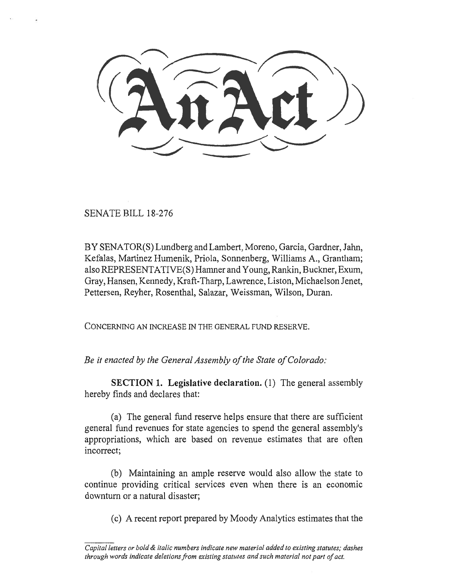SENATE BILL 18-276

BY SENATOR(S) Lundberg and Lambert, Moreno, Garcia, Gardner, Jahn, Kefalas, Martinez Humenik, Priola, Sonnenberg, Williams A., Grantham; also REPRESENTATIVE(S) Hamner and Young, Rankin, Buckner, Exum, Gray, Hansen, Kennedy, Kraft-Tharp, Lawrence, Liston, Michaelson Jenet, Pettersen, Reyher, Rosenthal, Salazar, Weissman, Wilson, Duran.

CONCERNING AN INCREASE IN THE GENERAL FUND RESERVE.

*Be it enacted by the General Assembly of the State of Colorado:* 

**SECTION 1. Legislative declaration.** (1) The general assembly hereby finds and declares that:

(a) The general fund reserve helps ensure that there are sufficient general fund revenues for state agencies to spend the general assembly's appropriations, which are based on revenue estimates that are often incorrect;

(b) Maintaining an ample reserve would also allow the state to continue providing critical services even when there is an economic downturn or a natural disaster;

(c) A recent report prepared by Moody Analytics estimates that the

*Capital letters or bold & italic numbers indicate new material added to existing statutes; dashes through words indicate deletions from existing statutes and such material not part of act.*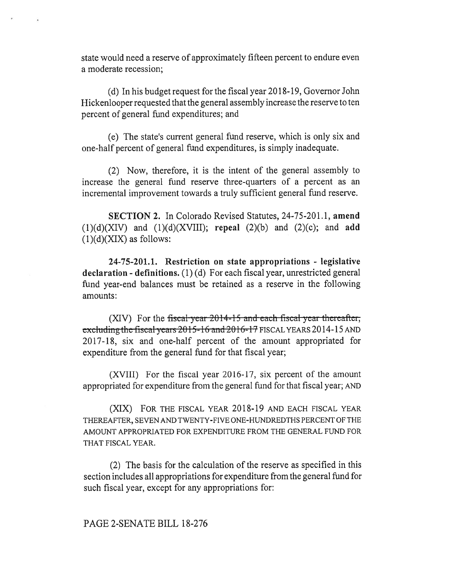state would need a reserve of approximately fifteen percent to endure even a moderate recession;

(d) In his budget request for the fiscal year 2018-19, Governor John Hickenlooper requested that the general assembly increase the reserve to ten percent of general fund expenditures; and

(e) The state's current general fund reserve, which is only six and one-half percent of general fund expenditures, is simply inadequate.

(2) Now, therefore, it is the intent of the general assembly to increase the general fund reserve three-quarters of a percent as an incremental improvement towards a truly sufficient general fund reserve.

**SECTION 2.** In Colorado Revised Statutes, 24-75-201.1, **amend**  (1)(d)(XIV) and (1)(d)(XVIII); **repeal** (2)(b) and (2)(c); and **add**   $(1)(d)(XIX)$  as follows:

**24-75-201.1. Restriction on state appropriations - legislative declaration - definitions.** (1) (d) For each fiscal year, unrestricted general fund year-end balances must be retained as a reserve in the following amounts:

(XIV) For the fiscal-year  $2014-15$  and each fiscal-year thereafter; excluding the fiscal years  $2015-16$  and  $2016-17$  FISCAL YEARS 2014-15 AND 2017-18, six and one-half percent of the amount appropriated for expenditure from the general fund for that fiscal year;

(XVIII) For the fiscal year 2016-17, six percent of the amount appropriated for expenditure from the general fund for that fiscal year; AND

(XIX) FOR THE FISCAL YEAR 2018-19 AND EACH FISCAL YEAR THEREAFTER, SEVEN AND TWENTY-FIVE ONE-HUNDREDTHS PERCENT OF THE AMOUNT APPROPRIATED FOR EXPENDITURE FROM THE GENERAL FUND FOR THAT FISCAL YEAR.

(2) The basis for the calculation of the reserve as specified in this section includes all appropriations for expenditure from the general fund for such fiscal year, except for any appropriations for:

## PAGE 2-SENATE BILL 18-276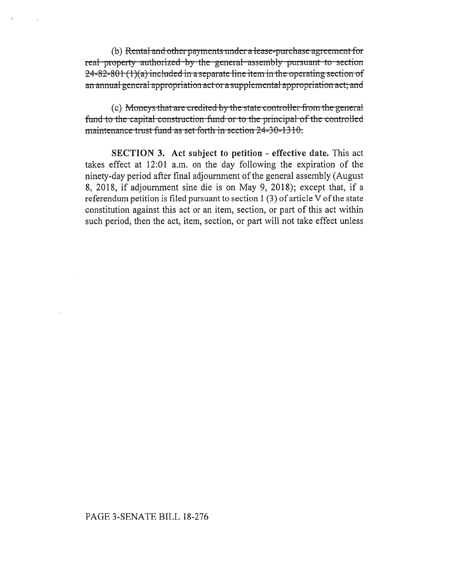(b) Rental and other payments under a lease-purchase agreement for real property authorized by the general assembly pursuant to section  $24-82-80+(1)(a)$  included in a separate line item in the operating section of an annual general appropriation act or a supplemental appropriation act; and

(c) Moneys that are credited by the state controller from the general fund to the capital construction fund or to the principal of the controlled maintenance trust fund as set forth in section 24-30-1310.

**SECTION 3.** Act subject to petition - effective date. This act takes effect at 12:01 a.m. on the day following the expiration of the ninety-day period after final adjournment of the general assembly (August 8, 2018, if adjournment sine die is on May 9, 2018); except that, if a referendum petition is filed pursuant to section  $1(3)$  of article V of the state constitution against this act or an item, section, or part of this act within such period, then the act, item, section, or part will not take effect unless

## PAGE 3-SENATE BILL 18-276